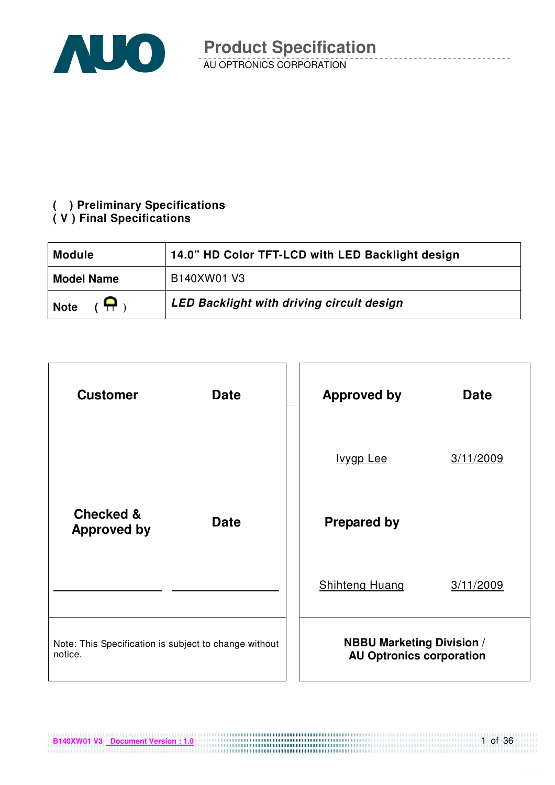

# **( ) Preliminary Specifications**

#### **( V ) Final Specifications**

| <b>Module</b>     | 14.0" HD Color TFT-LCD with LED Backlight design |
|-------------------|--------------------------------------------------|
| <b>Model Name</b> | B140XW01 V3                                      |
| А<br><b>Note</b>  | <b>LED Backlight with driving circuit design</b> |

| <b>Customer</b>                                                  | <b>Date</b> | <b>Approved by</b>                                                  | <b>Date</b> |
|------------------------------------------------------------------|-------------|---------------------------------------------------------------------|-------------|
|                                                                  |             | Ivygp Lee                                                           | 3/11/2009   |
| <b>Checked &amp;</b><br><b>Approved by</b>                       | <b>Date</b> | <b>Prepared by</b>                                                  |             |
|                                                                  |             | <b>Shihteng Huang</b>                                               | 3/11/2009   |
| Note: This Specification is subject to change without<br>notice. |             | <b>NBBU Marketing Division /</b><br><b>AU Optronics corporation</b> |             |

**B140XW01 V3 Document Version : 1.0**

1 of 36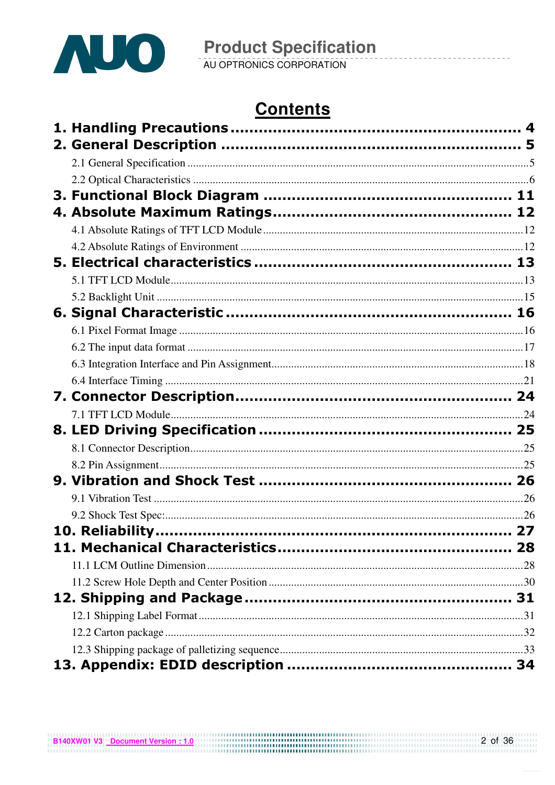

**Product Specification**<br>AU OPTRONICS CORPORATION

# **Contents**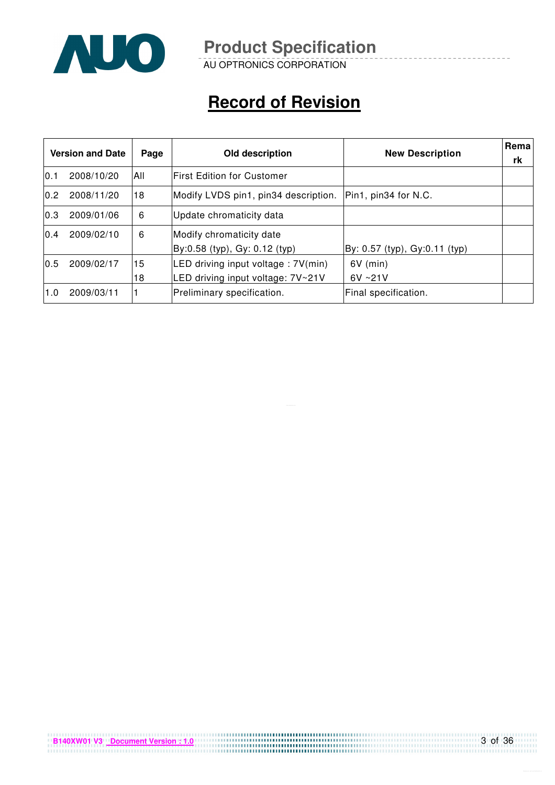

AU OPTRONICS CORPORATION

# **Record of Revision**

|      | <b>Version and Date</b> | Page | Old description                                           | <b>New Description</b>        | <b>Rema</b><br>rk |
|------|-------------------------|------|-----------------------------------------------------------|-------------------------------|-------------------|
| 10.1 | 2008/10/20              | All  | lFirst Edition for Customer                               |                               |                   |
| 0.2  | 2008/11/20              | 18   | Modify LVDS pin1, pin34 description.                      | Pin1, pin34 for N.C.          |                   |
| 0.3  | 2009/01/06              | 6    | Update chromaticity data                                  |                               |                   |
| 0.4  | 2009/02/10              | 6    | Modify chromaticity date<br>By:0.58 (typ), Gy: 0.12 (typ) | By: 0.57 (typ), Gy:0.11 (typ) |                   |
| 0.5  | 2009/02/17              | 15   | LED driving input voltage : 7V(min)                       | $6V$ (min)                    |                   |
|      |                         | 18   | LED driving input voltage: 7V~21V                         | $6V \sim 21V$                 |                   |
| 1.0  | 2009/03/11              |      | Preliminary specification.                                | Final specification.          |                   |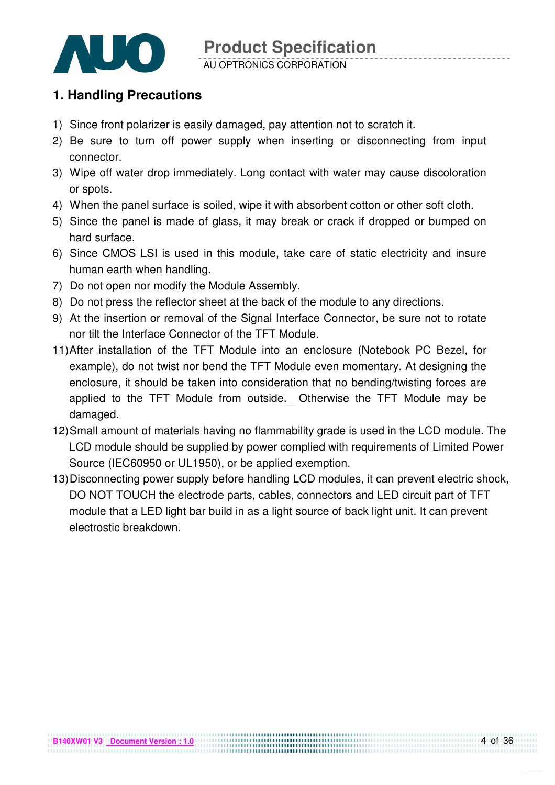

### **1. Handling Precautions**

- 1) Since front polarizer is easily damaged, pay attention not to scratch it.
- 2) Be sure to turn off power supply when inserting or disconnecting from input connector.
- 3) Wipe off water drop immediately. Long contact with water may cause discoloration or spots.
- 4) When the panel surface is soiled, wipe it with absorbent cotton or other soft cloth.
- 5) Since the panel is made of glass, it may break or crack if dropped or bumped on hard surface.
- 6) Since CMOS LSI is used in this module, take care of static electricity and insure human earth when handling.
- 7) Do not open nor modify the Module Assembly.
- 8) Do not press the reflector sheet at the back of the module to any directions.
- 9) At the insertion or removal of the Signal Interface Connector, be sure not to rotate nor tilt the Interface Connector of the TFT Module.
- 11) After installation of the TFT Module into an enclosure (Notebook PC Bezel, for example), do not twist nor bend the TFT Module even momentary. At designing the enclosure, it should be taken into consideration that no bending/twisting forces are applied to the TFT Module from outside. Otherwise the TFT Module may be damaged.
- 12) Small amount of materials having no flammability grade is used in the LCD module. The LCD module should be supplied by power complied with requirements of Limited Power Source (IEC60950 or UL1950), or be applied exemption.
- 13) Disconnecting power supply before handling LCD modules, it can prevent electric shock, DO NOT TOUCH the electrode parts, cables, connectors and LED circuit part of TFT module that a LED light bar build in as a light source of back light unit. It can prevent electrostic breakdown.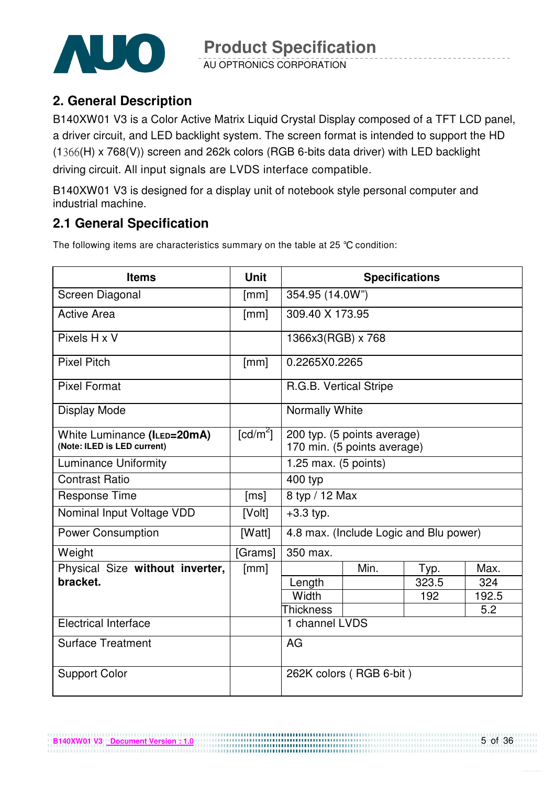

AU OPTRONICS CORPORATION

## **2. General Description**

B140XW01 V3 is a Color Active Matrix Liquid Crystal Display composed of a TFT LCD panel, a driver circuit, and LED backlight system. The screen format is intended to support the HD  $(1366(H) \times 768(V))$  screen and 262k colors (RGB 6-bits data driver) with LED backlight driving circuit. All input signals are LVDS interface compatible.

B140XW01 V3 is designed for a display unit of notebook style personal computer and industrial machine.

## **2.1 General Specification**

The following items are characteristics summary on the table at 25 °C condition:

| <b>Items</b>                                               | <b>Unit</b>            | <b>Specifications</b>  |                                                            |                                        |       |  |
|------------------------------------------------------------|------------------------|------------------------|------------------------------------------------------------|----------------------------------------|-------|--|
| Screen Diagonal                                            | [mm]                   | 354.95 (14.0W")        |                                                            |                                        |       |  |
| <b>Active Area</b>                                         | [mm]                   | 309.40 X 173.95        |                                                            |                                        |       |  |
| Pixels H x V                                               |                        | 1366x3(RGB) x 768      |                                                            |                                        |       |  |
| <b>Pixel Pitch</b>                                         | [mm]                   | 0.2265X0.2265          |                                                            |                                        |       |  |
| <b>Pixel Format</b>                                        |                        | R.G.B. Vertical Stripe |                                                            |                                        |       |  |
| Display Mode                                               |                        | <b>Normally White</b>  |                                                            |                                        |       |  |
| White Luminance (ILED=20mA)<br>(Note: ILED is LED current) | $\lceil cd/m^2 \rceil$ |                        | 200 typ. (5 points average)<br>170 min. (5 points average) |                                        |       |  |
| <b>Luminance Uniformity</b>                                |                        | 1.25 max. (5 points)   |                                                            |                                        |       |  |
| <b>Contrast Ratio</b>                                      |                        | 400 typ                |                                                            |                                        |       |  |
| <b>Response Time</b>                                       | [ms]                   | 8 typ / 12 Max         |                                                            |                                        |       |  |
| Nominal Input Voltage VDD                                  | [Volt]                 | $+3.3$ typ.            |                                                            |                                        |       |  |
| <b>Power Consumption</b>                                   | [Watt]                 |                        |                                                            | 4.8 max. (Include Logic and Blu power) |       |  |
| Weight                                                     | [Grams]                | 350 max.               |                                                            |                                        |       |  |
| Physical Size without inverter,                            | [mm]                   |                        | Min.                                                       | Typ.                                   | Max.  |  |
| bracket.                                                   |                        | Length                 |                                                            | 323.5                                  | 324   |  |
|                                                            |                        | Width                  |                                                            | 192                                    | 192.5 |  |
|                                                            |                        | <b>Thickness</b>       |                                                            |                                        | 5.2   |  |
| <b>Electrical Interface</b>                                |                        | 1 channel LVDS         |                                                            |                                        |       |  |
| <b>Surface Treatment</b>                                   |                        | AG                     |                                                            |                                        |       |  |
| <b>Support Color</b>                                       |                        |                        | 262K colors (RGB 6-bit)                                    |                                        |       |  |

................................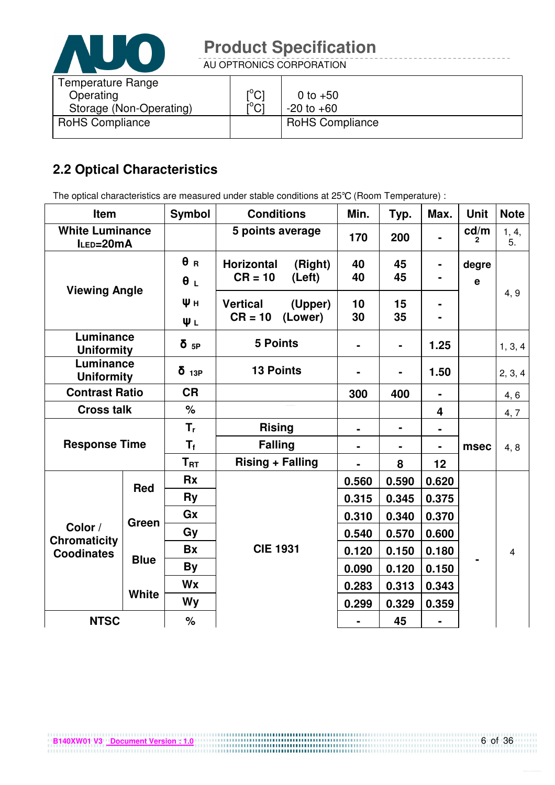

AU OPTRONICS CORPORATION

| [°C]                   | 0 to $+50$             |
|------------------------|------------------------|
| ו^ <sup>ס</sup> ו<br>◡ | $-20$ to $+60$         |
|                        | <b>RoHS Compliance</b> |
|                        |                        |

# **2.2 Optical Characteristics**

The optical characteristics are measured under stable conditions at 25°C (Room Temperature) :

| Item                                     |              | Symbol                   | <b>Conditions</b>                                   | Min.     | Typ.     | Max.                    | <b>Unit</b>          | <b>Note</b>    |
|------------------------------------------|--------------|--------------------------|-----------------------------------------------------|----------|----------|-------------------------|----------------------|----------------|
| <b>White Luminance</b><br>ILED=20mA      |              |                          | 5 points average                                    | 170      | 200      |                         | cd/m<br>$\mathbf{2}$ | 1, 4,<br>5.    |
| <b>Viewing Angle</b>                     |              | $\theta$ R<br>$\theta L$ | <b>Horizontal</b><br>(Right)<br>$CR = 10$<br>(Left) | 40<br>40 | 45<br>45 | -                       | degre<br>$\mathbf e$ |                |
|                                          |              | Ψн<br>ΨL                 | <b>Vertical</b><br>(Upper)<br>$CR = 10$<br>(Lower)  | 10<br>30 | 15<br>35 |                         |                      | 4, 9           |
| Luminance<br><b>Uniformity</b>           |              | $\delta$ <sub>5P</sub>   | <b>5 Points</b>                                     |          |          | 1.25                    |                      | 1, 3, 4        |
| Luminance<br><b>Uniformity</b>           |              | $\delta$ 13P             | <b>13 Points</b>                                    |          |          | 1.50                    |                      | 2, 3, 4        |
| <b>Contrast Ratio</b>                    |              | <b>CR</b>                |                                                     | 300      | 400      | $\blacksquare$          |                      | 4, 6           |
| <b>Cross talk</b>                        |              | $\%$                     |                                                     |          |          | $\overline{\mathbf{4}}$ |                      | 4, 7           |
|                                          |              | $T_{r}$                  | <b>Rising</b>                                       | ۰        | ۰        | $\blacksquare$          |                      |                |
| <b>Response Time</b>                     |              | $T_{\rm f}$              | <b>Falling</b>                                      |          |          |                         | msec                 | 4, 8           |
|                                          |              | $T_{\rm RT}$             | <b>Rising + Falling</b>                             |          | 8        | 12                      |                      |                |
|                                          | <b>Red</b>   | <b>Rx</b>                |                                                     | 0.560    | 0.590    | 0.620                   |                      |                |
|                                          |              | Ry                       |                                                     | 0.315    | 0.345    | 0.375                   |                      |                |
|                                          | Green        | Gx                       |                                                     | 0.310    | 0.340    | 0.370                   |                      |                |
| Color /                                  |              | Gy                       |                                                     | 0.540    | 0.570    | 0.600                   |                      |                |
| <b>Chromaticity</b><br><b>Coodinates</b> |              | <b>Bx</b>                | <b>CIE 1931</b>                                     | 0.120    | 0.150    | 0.180                   |                      | $\overline{4}$ |
|                                          | <b>Blue</b>  | By                       |                                                     | 0.090    | 0.120    | 0.150                   |                      |                |
|                                          |              | <b>Wx</b>                |                                                     | 0.283    | 0.313    | 0.343                   |                      |                |
|                                          | <b>White</b> | Wy                       |                                                     | 0.299    | 0.329    | 0.359                   |                      |                |
| <b>NTSC</b>                              |              | %                        |                                                     |          | 45       |                         |                      |                |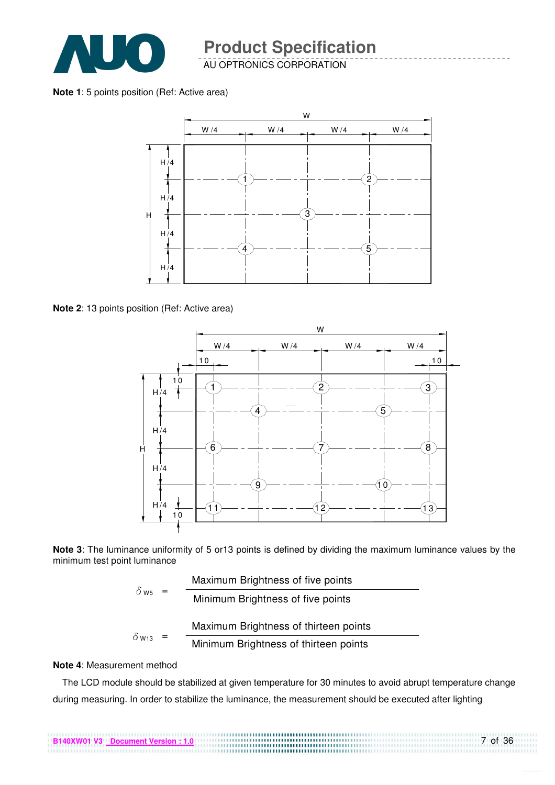

AU OPTRONICS CORPORATION

**Note 1**: 5 points position (Ref: Active area)



**Note 2**: 13 points position (Ref: Active area)



**Note 3**: The luminance uniformity of 5 or13 points is defined by dividing the maximum luminance values by the minimum test point luminance

|                         | Maximum Brightness of five points     |
|-------------------------|---------------------------------------|
| $\delta$ W <sub>5</sub> | Minimum Brightness of five points     |
|                         |                                       |
| $\delta$ W13            | Maximum Brightness of thirteen points |

#### **Note 4**: Measurement method

The LCD module should be stabilized at given temperature for 30 minutes to avoid abrupt temperature change during measuring. In order to stabilize the luminance, the measurement should be executed after lighting

7 of 36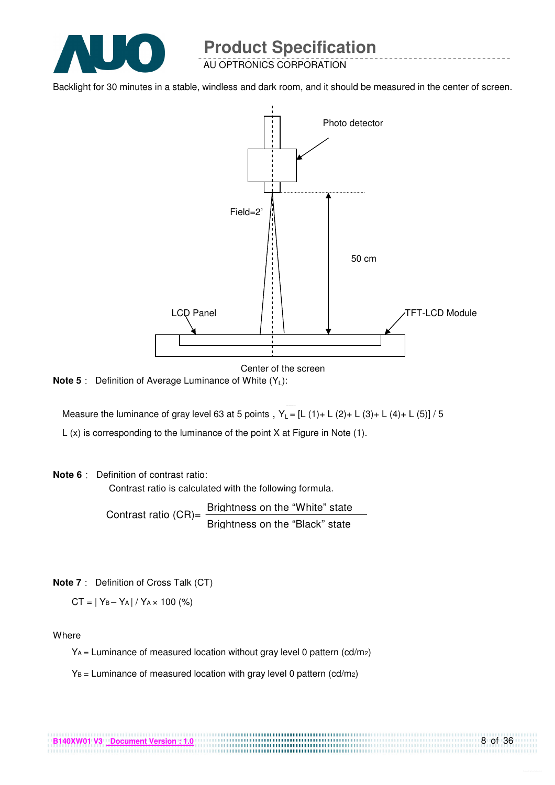

AU OPTRONICS CORPORATION

Backlight for 30 minutes in a stable, windless and dark room, and it should be measured in the center of screen.



Center of the screen

**Note 5** : Definition of Average Luminance of White (Y<sub>L</sub>):

Measure the luminance of gray level 63 at 5 points,  $Y_L = [L (1) + L (2) + L (3) + L (4) + L (5)] / 5$ 

L (x) is corresponding to the luminance of the point X at Figure in Note (1).

#### **Note 6** Definition of contrast ratio:

Contrast ratio is calculated with the following formula.

Contrast ratio  $(CR)$ = Brightness on the "White" state Brightness on the "Black" state

**Note 7** Definition of Cross Talk (CT)

 $CT = |Y_B - Y_A| / Y_A \times 100$  (%)

Where

 $Y_A$  = Luminance of measured location without gray level 0 pattern (cd/m<sub>2</sub>)

.................................

 $Y_B$  = Luminance of measured location with gray level 0 pattern (cd/m<sub>2</sub>)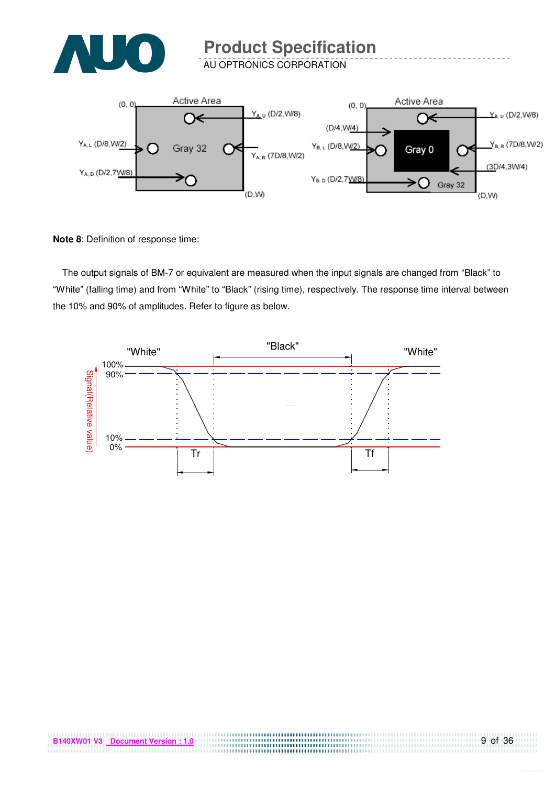

AU OPTRONICS CORPORATION



**Note 8**: Definition of response time:

The output signals of BM-7 or equivalent are measured when the input signals are changed from "Black" to "White" (falling time) and from "White" to "Black" (rising time), respectively. The response time interval between the 10% and 90% of amplitudes. Refer to figure as below.

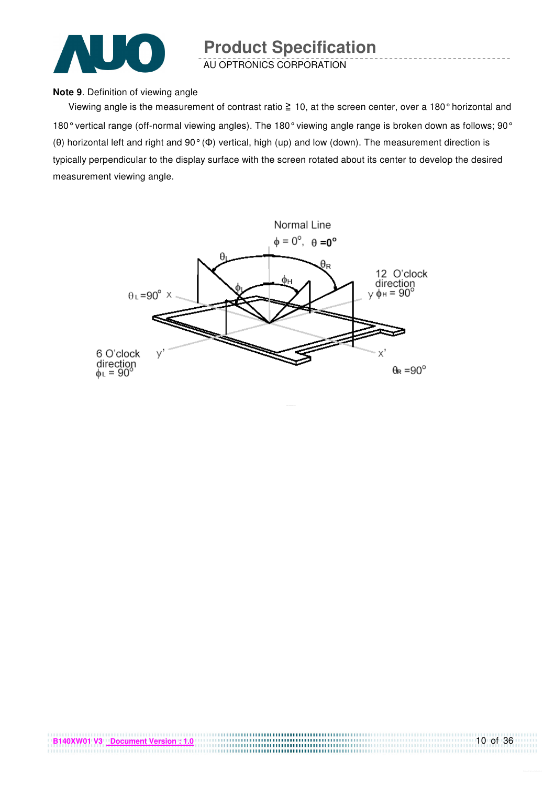

AU OPTRONICS CORPORATION

#### **Note 9**. Definition of viewing angle

Viewing angle is the measurement of contrast ratio  $\geq 10$ , at the screen center, over a 180° horizontal and 180° vertical range (off-normal viewing angles). The 180° viewing angle range is broken down as follows; 90° (θ) horizontal left and right and 90° (Φ) vertical, high (up) and low (down). The measurement direction is typically perpendicular to the display surface with the screen rotated about its center to develop the desired measurement viewing angle.

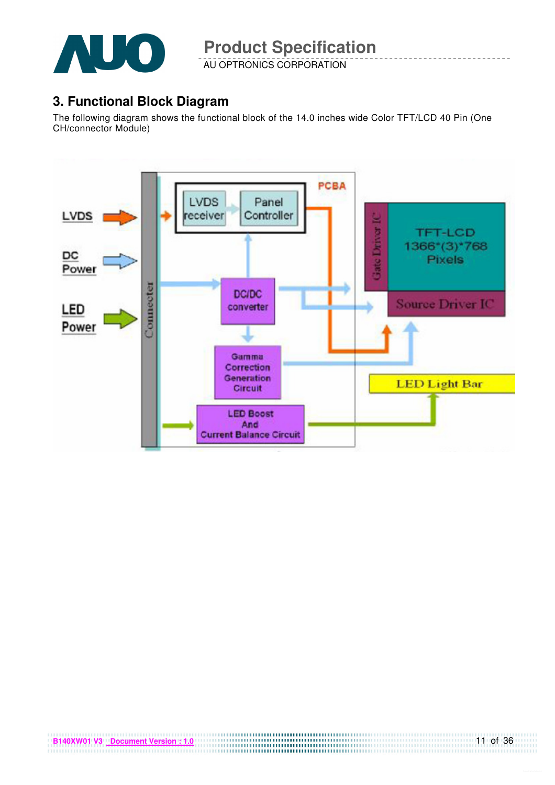

AU OPTRONICS CORPORATION

## **3. Functional Block Diagram**

The following diagram shows the functional block of the 14.0 inches wide Color TFT/LCD 40 Pin (One CH/connector Module)

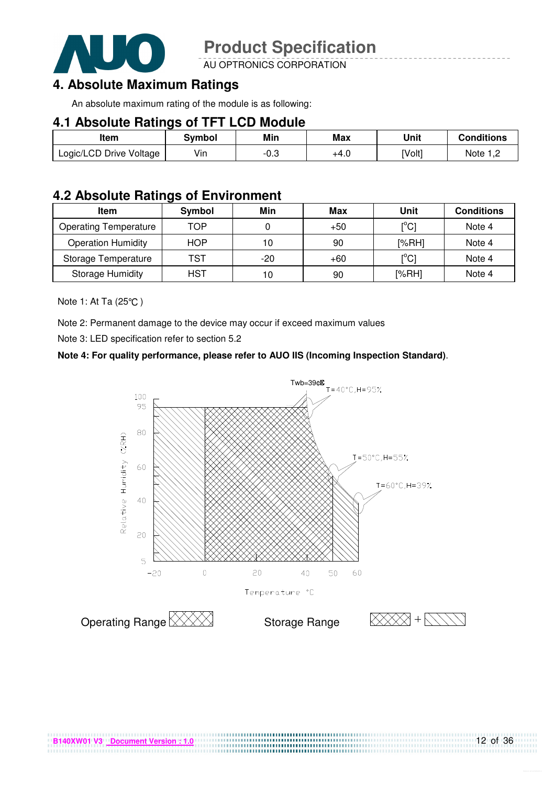

AU OPTRONICS CORPORATION

# **4. Absolute Maximum Ratings**

An absolute maximum rating of the module is as following:

#### **4.1 Absolute Ratings of TFT LCD Module**

| Item                    | Svmbol | Min  | <b>Max</b> | Unit   | Conditions   |
|-------------------------|--------|------|------------|--------|--------------|
| Logic/LCD Drive Voltage | Vin    | -0.3 | +4.U       | [Volt] | Note<br>ے, ا |

### **4.2 Absolute Ratings of Environment**

| <b>Item</b>                  | Symbol     | Min   | Max   | Unit                                    | <b>Conditions</b> |
|------------------------------|------------|-------|-------|-----------------------------------------|-------------------|
| <b>Operating Temperature</b> | TOP        |       | $+50$ | [°C]                                    | Note 4            |
| <b>Operation Humidity</b>    | <b>HOP</b> | 10    | 90    | [%RH]                                   | Note 4            |
| Storage Temperature          | TST        | $-20$ | $+60$ | $\mathsf{I}^\circ\mathsf{C} \mathsf{I}$ | Note 4            |
| <b>Storage Humidity</b>      | HST        | 10    | 90    | [%RH]                                   | Note 4            |

Note 1: At Ta (25°C)

Note 2: Permanent damage to the device may occur if exceed maximum values

Note 3: LED specification refer to section 5.2

#### **Note 4: For quality performance, please refer to AUO IIS (Incoming Inspection Standard)**.



................................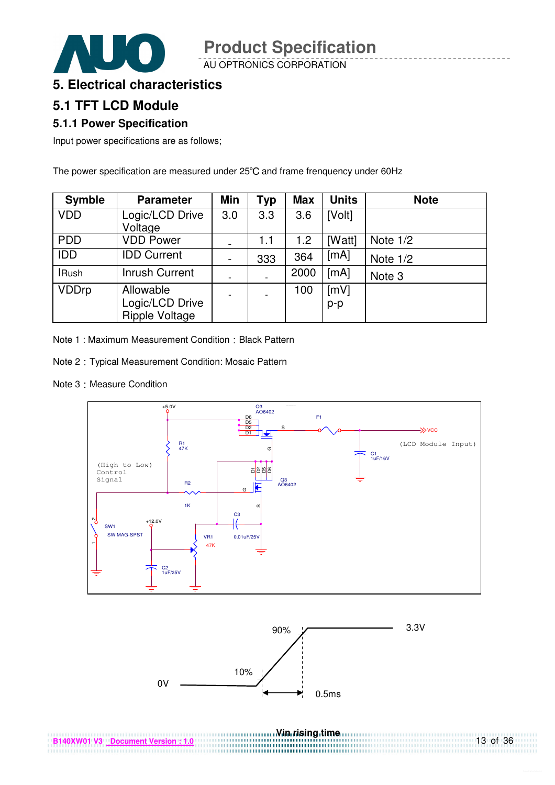AU OPTRONICS CORPORATION



### **5. Electrical characteristics**

### **5.1 TFT LCD Module**

#### **5.1.1 Power Specification**

Input power specifications are as follows;

The power specification are measured under 25°C and frame frenquency under 60Hz

| <b>Symble</b> | <b>Parameter</b>                         | Min                      | Typ | <b>Max</b> | <b>Units</b> | <b>Note</b> |
|---------------|------------------------------------------|--------------------------|-----|------------|--------------|-------------|
| <b>VDD</b>    | Logic/LCD Drive<br>Voltage               | 3.0                      | 3.3 | 3.6        | [Volt]       |             |
| <b>PDD</b>    | <b>VDD Power</b>                         | $\overline{\phantom{0}}$ | 1.1 | 1.2        | [Watt]       | Note $1/2$  |
| <b>IDD</b>    | <b>IDD Current</b>                       | $\blacksquare$           | 333 | 364        | [mA]         | Note $1/2$  |
| <b>IRush</b>  | <b>Inrush Current</b>                    | $\overline{\phantom{a}}$ |     | 2000       | [mA]         | Note 3      |
| <b>VDDrp</b>  | Allowable                                | $\overline{\phantom{a}}$ |     | 100        | [mV]         |             |
|               | Logic/LCD Drive<br><b>Ripple Voltage</b> |                          |     |            | $p-p$        |             |

Note 1 : Maximum Measurement Condition : Black Pattern

- Note 2 : Typical Measurement Condition: Mosaic Pattern
- Note 3 : Measure Condition





..............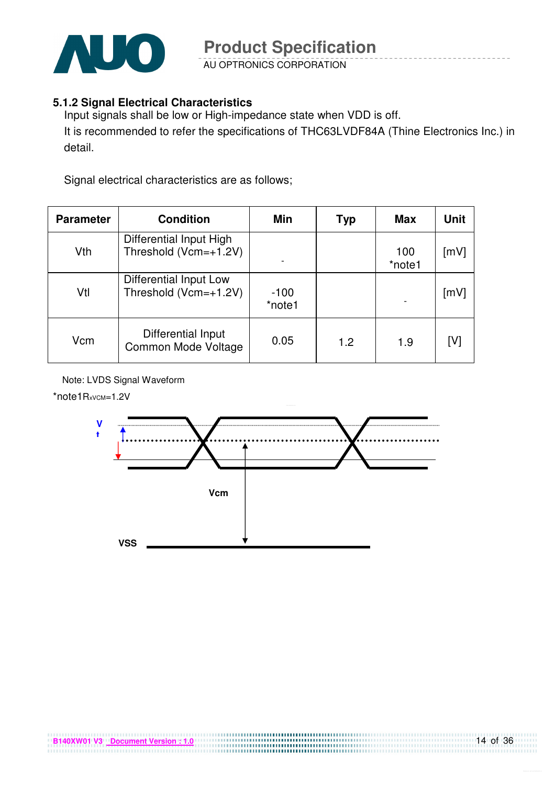

AU OPTRONICS CORPORATION

#### **5.1.2 Signal Electrical Characteristics**

Input signals shall be low or High-impedance state when VDD is off. It is recommended to refer the specifications of THC63LVDF84A (Thine Electronics Inc.) in detail.

Signal electrical characteristics are as follows;

| <b>Parameter</b> | <b>Condition</b>                                 | Min              | Typ | <b>Max</b>               | <b>Unit</b>        |
|------------------|--------------------------------------------------|------------------|-----|--------------------------|--------------------|
| Vth              | Differential Input High<br>Threshold (Vcm=+1.2V) |                  |     | 100<br>*note1            | $\lceil mV \rceil$ |
| Vtl              | Differential Input Low<br>Threshold (Vcm=+1.2V)  | $-100$<br>*note1 |     | $\overline{\phantom{0}}$ | [mV]               |
| Vcm              | Differential Input<br>Common Mode Voltage        | 0.05             | 1.2 | 1.9                      | [V]                |

Note: LVDS Signal Waveform

\*note1RxvcM=1.2V



,,,,,,,,,,,,,,,,,,,,,,,,,,,,,,,,,,,,,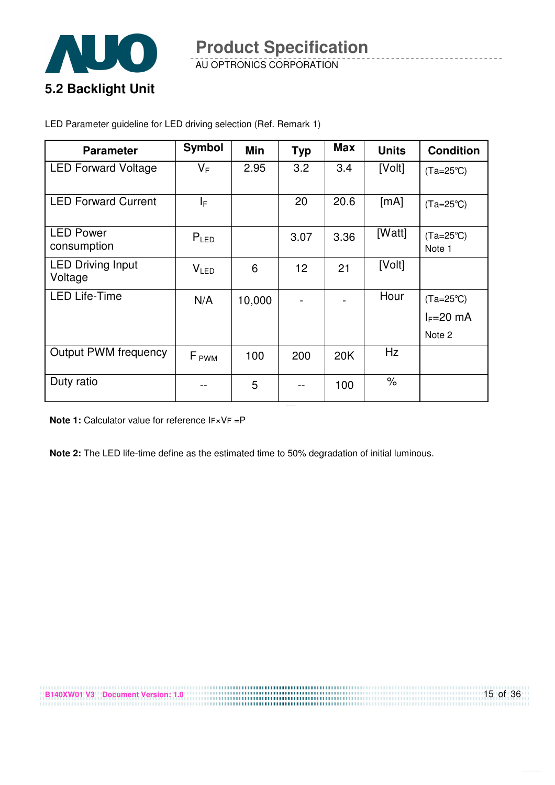

AU OPTRONICS CORPORATION

LED Parameter guideline for LED driving selection (Ref. Remark 1)

| <b>Parameter</b>                    | <b>Symbol</b>    | Min    | <b>Typ</b>      | <b>Max</b> | <b>Units</b>         | <b>Condition</b>                            |
|-------------------------------------|------------------|--------|-----------------|------------|----------------------|---------------------------------------------|
| <b>LED Forward Voltage</b>          | $V_F$            | 2.95   | 3.2             | 3.4        | [Volt]               | $(Ta=25^{\circ}C)$                          |
| <b>LED Forward Current</b>          | ΙF               |        | 20              | 20.6       | [mA]                 | $(Ta=25^{\circ}C)$                          |
| <b>LED Power</b><br>consumption     | $P_{LED}$        |        | 3.07            | 3.36       | [Watt]               | $(Ta=25^{\circ}C)$<br>Note 1                |
| <b>LED Driving Input</b><br>Voltage | V <sub>LED</sub> | 6      | 12 <sup>2</sup> | 21         | [Volt]               |                                             |
| <b>LED Life-Time</b>                | N/A              | 10,000 |                 |            | Hour                 | $(Ta=25^{\circ}C)$<br>$I_F=20$ mA<br>Note 2 |
| <b>Output PWM frequency</b>         | F <sub>PWM</sub> | 100    | 200             | 20K        | Hz                   |                                             |
| Duty ratio                          |                  | 5      |                 | 100        | $\frac{1}{\sqrt{2}}$ |                                             |

**Note 1:** Calculator value for reference IF×VF =P

**Note 2:** The LED life-time define as the estimated time to 50% degradation of initial luminous.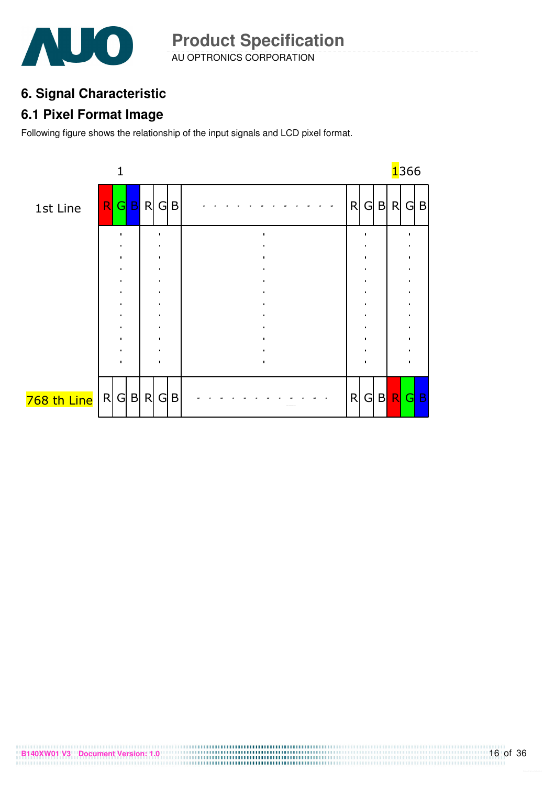

AU OPTRONICS CORPORATION **Product Specification** 

# **6. Signal Characteristic**

### **6.1 Pixel Format Image**

Following figure shows the relationship of the input signals and LCD pixel format.

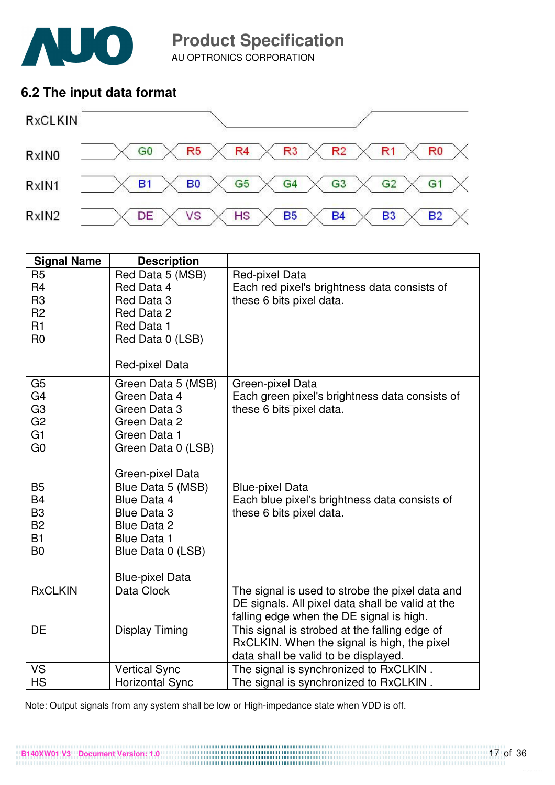

AU OPTRONICS CORPORATION

### **6.2 The input data format**



| <b>Signal Name</b>                                                                           | <b>Description</b>                                                                                                                                       |                                                                                                                                                 |
|----------------------------------------------------------------------------------------------|----------------------------------------------------------------------------------------------------------------------------------------------------------|-------------------------------------------------------------------------------------------------------------------------------------------------|
| R <sub>5</sub><br>R <sub>4</sub><br>R <sub>3</sub><br>R <sub>2</sub><br>R1<br>R <sub>0</sub> | Red Data 5 (MSB)<br>Red Data 4<br>Red Data 3<br>Red Data 2<br>Red Data 1<br>Red Data 0 (LSB)<br>Red-pixel Data                                           | Red-pixel Data<br>Each red pixel's brightness data consists of<br>these 6 bits pixel data.                                                      |
| G <sub>5</sub><br>G4<br>G <sub>3</sub><br>G <sub>2</sub><br>G <sub>1</sub><br>G <sub>0</sub> | Green Data 5 (MSB)<br>Green Data 4<br>Green Data 3<br>Green Data 2<br>Green Data 1<br>Green Data 0 (LSB)<br>Green-pixel Data                             | Green-pixel Data<br>Each green pixel's brightness data consists of<br>these 6 bits pixel data.                                                  |
| <b>B5</b><br><b>B4</b><br>B <sub>3</sub><br><b>B2</b><br><b>B1</b><br>B <sub>0</sub>         | Blue Data 5 (MSB)<br><b>Blue Data 4</b><br><b>Blue Data 3</b><br><b>Blue Data 2</b><br><b>Blue Data 1</b><br>Blue Data 0 (LSB)<br><b>Blue-pixel Data</b> | <b>Blue-pixel Data</b><br>Each blue pixel's brightness data consists of<br>these 6 bits pixel data.                                             |
| <b>RxCLKIN</b>                                                                               | Data Clock                                                                                                                                               | The signal is used to strobe the pixel data and<br>DE signals. All pixel data shall be valid at the<br>falling edge when the DE signal is high. |
| DE                                                                                           | <b>Display Timing</b>                                                                                                                                    | This signal is strobed at the falling edge of<br>RxCLKIN. When the signal is high, the pixel<br>data shall be valid to be displayed.            |
| VS                                                                                           | <b>Vertical Sync</b>                                                                                                                                     | The signal is synchronized to RxCLKIN.                                                                                                          |
| $\overline{\mathsf{HS}}$                                                                     | <b>Horizontal Sync</b>                                                                                                                                   | The signal is synchronized to RxCLKIN.                                                                                                          |

Note: Output signals from any system shall be low or High-impedance state when VDD is off.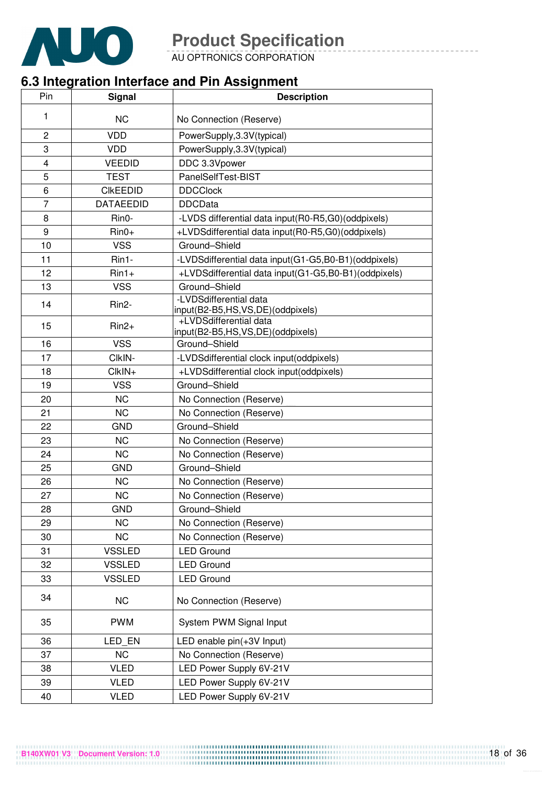

AU OPTRONICS CORPORATION

# **6.3 Integration Interface and Pin Assignment**

| Pin            | <b>Signal</b>    | <b>Description</b>                                         |
|----------------|------------------|------------------------------------------------------------|
| 1              |                  |                                                            |
|                | <b>NC</b>        | No Connection (Reserve)                                    |
| $\overline{2}$ | <b>VDD</b>       | PowerSupply, 3.3V(typical)                                 |
| 3              | <b>VDD</b>       | PowerSupply, 3.3V(typical)                                 |
| 4              | <b>VEEDID</b>    | DDC 3.3Vpower                                              |
| 5              | <b>TEST</b>      | PanelSelfTest-BIST                                         |
| 6              | <b>CIKEEDID</b>  | <b>DDCClock</b>                                            |
| 7              | <b>DATAEEDID</b> | <b>DDCData</b>                                             |
| 8              | Rin0-            | -LVDS differential data input(R0-R5,G0)(oddpixels)         |
| 9              | $Rin0+$          | +LVDSdifferential data input(R0-R5,G0)(oddpixels)          |
| 10             | <b>VSS</b>       | Ground-Shield                                              |
| 11             | Rin1-            | -LVDSdifferential data input(G1-G5,B0-B1)(oddpixels)       |
| 12             | $Rin1+$          | +LVDSdifferential data input(G1-G5,B0-B1)(oddpixels)       |
| 13             | <b>VSS</b>       | Ground-Shield                                              |
| 14             | Rin2-            | -LVDSdifferential data<br>input(B2-B5,HS,VS,DE)(oddpixels) |
| 15             | $Rin2+$          | +LVDSdifferential data<br>input(B2-B5,HS,VS,DE)(oddpixels) |
| 16             | <b>VSS</b>       | Ground-Shield                                              |
| 17             | CIkIN-           | -LVDSdifferential clock input(oddpixels)                   |
| 18             | $ClkIN+$         | +LVDSdifferential clock input(oddpixels)                   |
| 19             | <b>VSS</b>       | Ground-Shield                                              |
| 20             | <b>NC</b>        | No Connection (Reserve)                                    |
| 21             | <b>NC</b>        | No Connection (Reserve)                                    |
| 22             | <b>GND</b>       | Ground-Shield                                              |
| 23             | <b>NC</b>        | No Connection (Reserve)                                    |
| 24             | <b>NC</b>        | No Connection (Reserve)                                    |
| 25             | <b>GND</b>       | Ground-Shield                                              |
| 26             | <b>NC</b>        | No Connection (Reserve)                                    |
| 27             | <b>NC</b>        | No Connection (Reserve)                                    |
| 28             | <b>GND</b>       | Ground-Shield                                              |
| 29             | <b>NC</b>        | No Connection (Reserve)                                    |
| 30             | <b>NC</b>        | No Connection (Reserve)                                    |
| 31             | <b>VSSLED</b>    | <b>LED Ground</b>                                          |
| 32             | <b>VSSLED</b>    | <b>LED Ground</b>                                          |
| 33             | <b>VSSLED</b>    | <b>LED Ground</b>                                          |
| 34             | <b>NC</b>        | No Connection (Reserve)                                    |
| 35             | <b>PWM</b>       | System PWM Signal Input                                    |
| 36             | LED EN           | LED enable pin(+3V Input)                                  |
| 37             | <b>NC</b>        | No Connection (Reserve)                                    |
| 38             | <b>VLED</b>      | LED Power Supply 6V-21V                                    |
| 39             | <b>VLED</b>      | LED Power Supply 6V-21V                                    |
| 40             | <b>VLED</b>      | LED Power Supply 6V-21V                                    |
|                |                  |                                                            |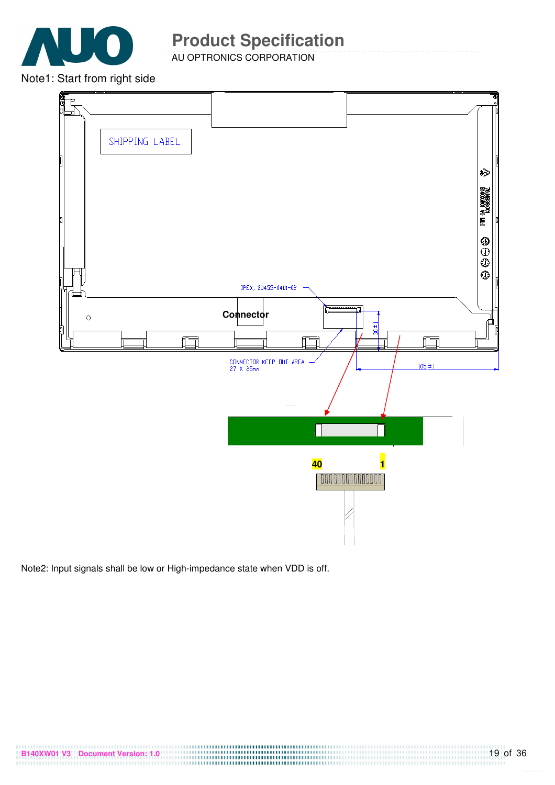

AU OPTRONICS CORPORATION

Note1: Start from right side



Note2: Input signals shall be low or High-impedance state when VDD is off.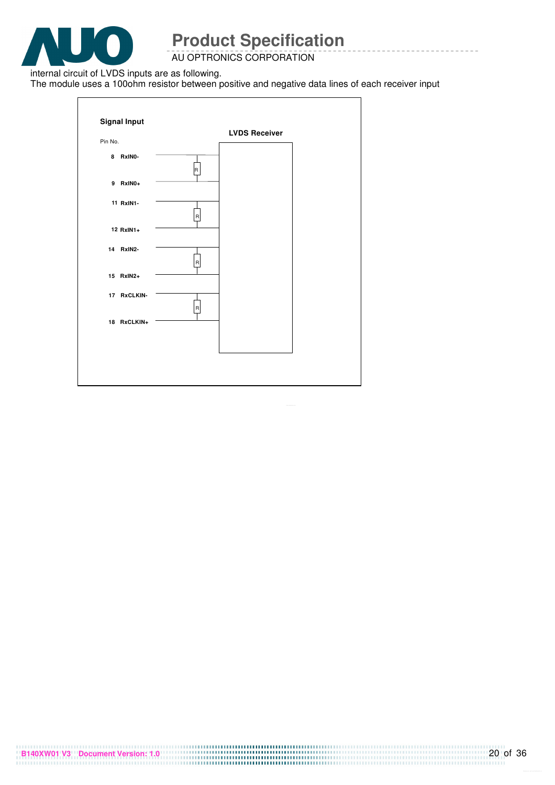

AU OPTRONICS CORPORATION

internal circuit of LVDS inputs are as following.

The module uses a 100ohm resistor between positive and negative data lines of each receiver input

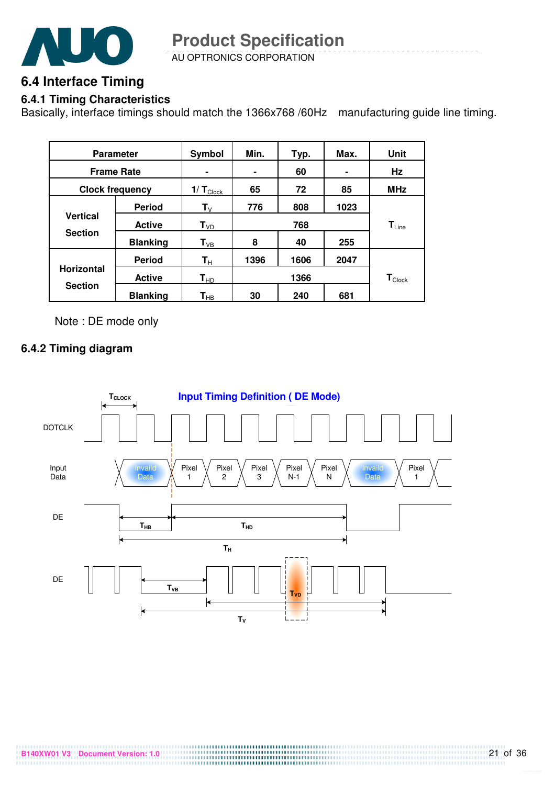

AU OPTRONICS CORPORATION **Product Specification** 

## **6.4 Interface Timing**

#### **6.4.1 Timing Characteristics**

Basically, interface timings should match the 1366x768 /60Hz manufacturing guide line timing.

| <b>Parameter</b>       |                 | Symbol                     | Min. | Typ. | Max.           | <b>Unit</b>                   |  |
|------------------------|-----------------|----------------------------|------|------|----------------|-------------------------------|--|
| <b>Frame Rate</b>      |                 | ٠                          | ٠    | 60   | $\blacksquare$ | Hz                            |  |
| <b>Clock frequency</b> |                 | $1/T_{\text{Clock}}$       | 65   | 72   | 85             | <b>MHz</b>                    |  |
|                        | <b>Period</b>   | $T_{V}$                    | 776  | 808  | 1023           |                               |  |
| <b>Vertical</b>        | <b>Active</b>   | $T_{VD}$                   |      | 768  |                | $T_{Line}$                    |  |
| <b>Section</b>         | <b>Blanking</b> | $T_{VB}$                   | 8    | 40   | 255            |                               |  |
|                        | <b>Period</b>   | $\mathsf{T}_\mathsf{H}$    | 1396 | 1606 | 2047           |                               |  |
| <b>Horizontal</b>      | <b>Active</b>   | $T_{HD}$                   |      | 1366 |                | $\textsf{T}_{\textsf{Clock}}$ |  |
| <b>Section</b>         | <b>Blanking</b> | $\mathsf{T}_{\mathsf{HB}}$ | 30   | 240  | 681            |                               |  |

Note : DE mode only

#### **6.4.2 Timing diagram**

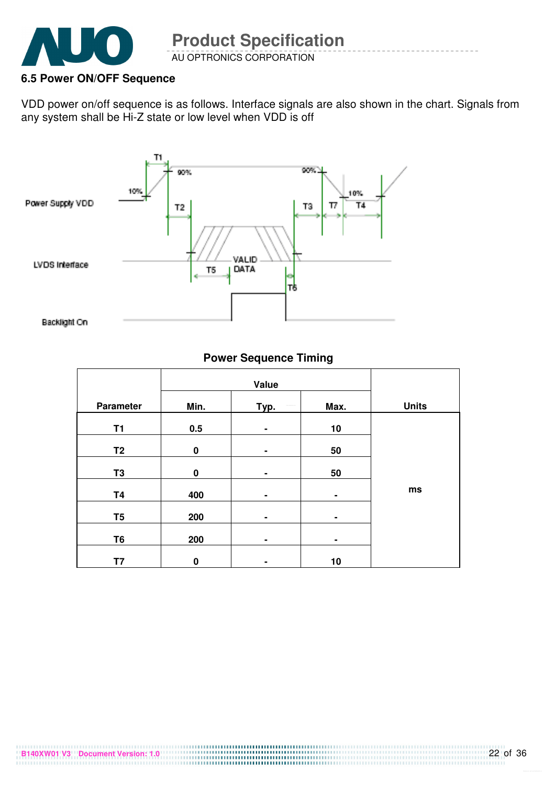

AU OPTRONICS CORPORATION **Product Specification** 

#### **6.5 Power ON/OFF Sequence**

VDD power on/off sequence is as follows. Interface signals are also shown in the chart. Signals from any system shall be Hi-Z state or low level when VDD is off



#### **Power Sequence Timing**

| Parameter      | Min.        | Typ.           | Max.           | <b>Units</b> |
|----------------|-------------|----------------|----------------|--------------|
| <b>T1</b>      | 0.5         | ٠              | 10             |              |
| T <sub>2</sub> | $\mathbf 0$ | $\blacksquare$ | 50             |              |
| T <sub>3</sub> | $\bf{0}$    | ٠              | 50             |              |
| <b>T4</b>      | 400         | ٠              | $\blacksquare$ | ms           |
| T <sub>5</sub> | 200         | ٠              | ۰              |              |
| T <sub>6</sub> | 200         | ٠              |                |              |
| T7             | $\bf{0}$    | ٠              | 10             |              |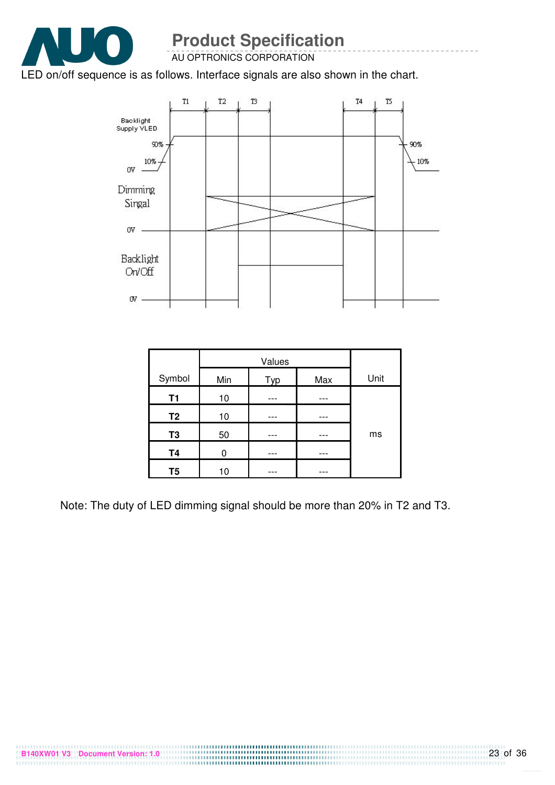

AU OPTRONICS CORPORATION

#### LED on/off sequence is as follows. Interface signals are also shown in the chart.



| Symbol         | Min | Typ | Max | Unit |
|----------------|-----|-----|-----|------|
| <b>T1</b>      | 10  |     |     |      |
| T <sub>2</sub> | 10  |     |     |      |
| T <sub>3</sub> | 50  |     |     | ms   |
| <b>T4</b>      | U   |     |     |      |
| T5             | 10  |     |     |      |

Note: The duty of LED dimming signal should be more than 20% in T2 and T3.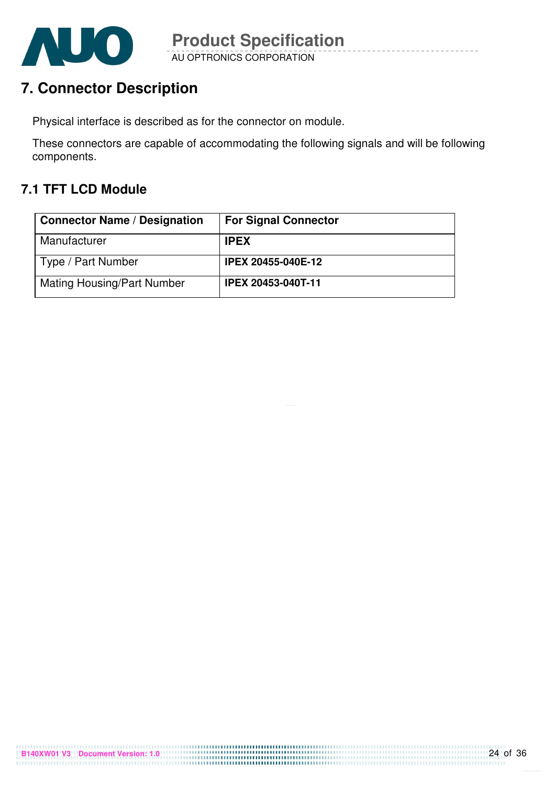

# **7. Connector Description**

Physical interface is described as for the connector on module.

These connectors are capable of accommodating the following signals and will be following components.

## **7.1 TFT LCD Module**

| <b>Connector Name / Designation</b> | <b>For Signal Connector</b> |
|-------------------------------------|-----------------------------|
| Manufacturer                        | <b>IPEX</b>                 |
| Type / Part Number                  | <b>IPEX 20455-040E-12</b>   |
| <b>Mating Housing/Part Number</b>   | <b>IPEX 20453-040T-11</b>   |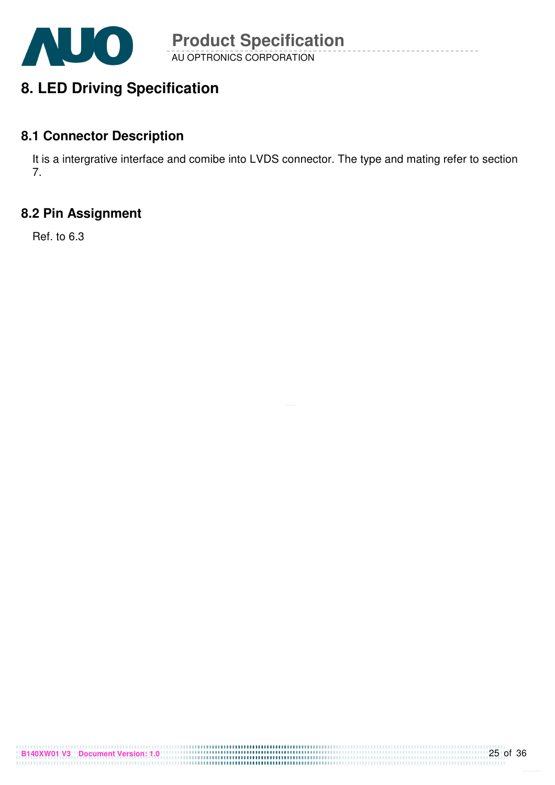

# **8. LED Driving Specification**

### **8.1 Connector Description**

It is a intergrative interface and comibe into LVDS connector. The type and mating refer to section 7.

## **8.2 Pin Assignment**

Ref. to 6.3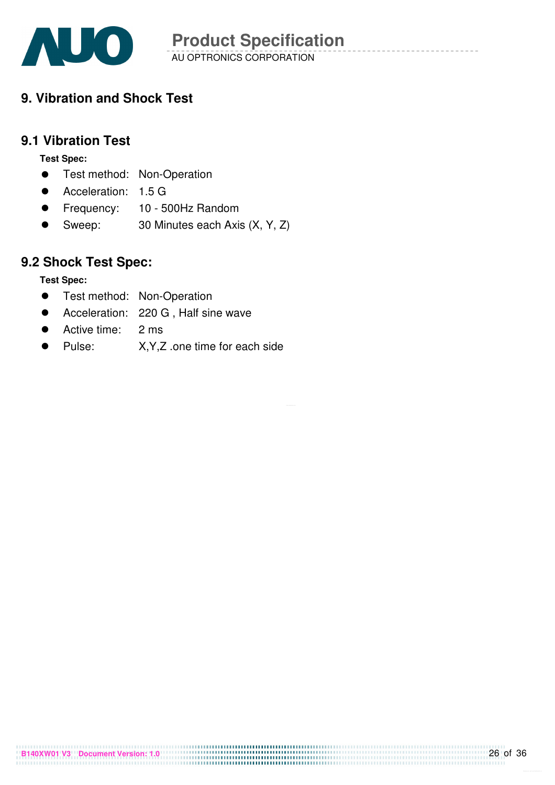

AU OPTRONICS CORPORATION **Product Specification** 

## **9. Vibration and Shock Test**

### **9.1 Vibration Test**

**Test Spec:** 

- **•** Test method: Non-Operation
- Acceleration: 1.5 G
- Frequency: 10 500Hz Random
- Sweep: 30 Minutes each Axis (X, Y, Z)

### **9.2 Shock Test Spec:**

#### **Test Spec:**

- **•** Test method: Non-Operation
- Acceleration: 220 G, Half sine wave
- Active time: 2 ms
- Pulse: X,Y,Z .one time for each side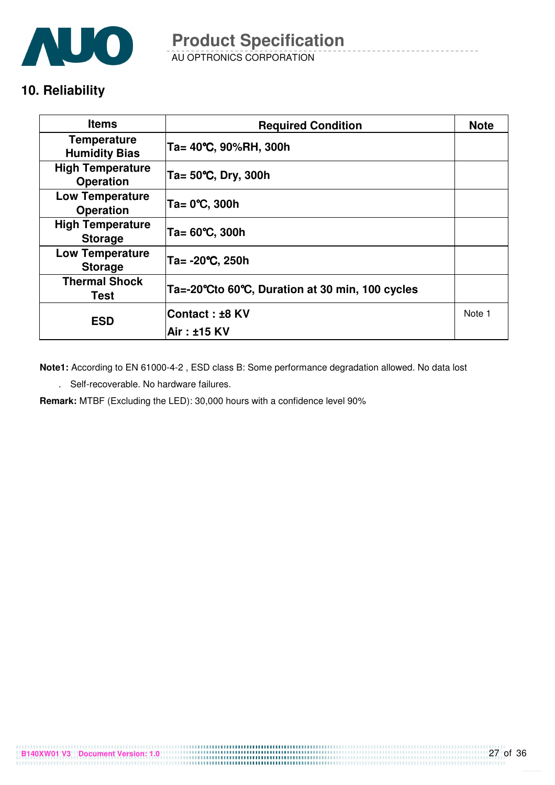

AU OPTRONICS CORPORATION **Product Specification** 

## **10. Reliability**

| <b>Items</b>                                | <b>Required Condition</b>                       | <b>Note</b> |
|---------------------------------------------|-------------------------------------------------|-------------|
| <b>Temperature</b><br><b>Humidity Bias</b>  | Ta= 40°C, 90%RH, 300h                           |             |
| <b>High Temperature</b><br><b>Operation</b> | Ta= $50^{\circ}$ C, Dry, 300h                   |             |
| <b>Low Temperature</b><br><b>Operation</b>  | Ta= 0°C, 300h                                   |             |
| <b>High Temperature</b><br><b>Storage</b>   | Ta= 60℃, 300h                                   |             |
| <b>Low Temperature</b><br><b>Storage</b>    | Ta= -20°C, 250h                                 |             |
| <b>Thermal Shock</b><br>Test                | Ta=-20°Cto 60°C, Duration at 30 min, 100 cycles |             |
| <b>ESD</b>                                  | Contact: ±8 KV                                  | Note 1      |
|                                             | Air : ±15 KV                                    |             |

**Note1:** According to EN 61000-4-2 , ESD class B: Some performance degradation allowed. No data lost

. Self-recoverable. No hardware failures.

**Remark:** MTBF (Excluding the LED): 30,000 hours with a confidence level 90%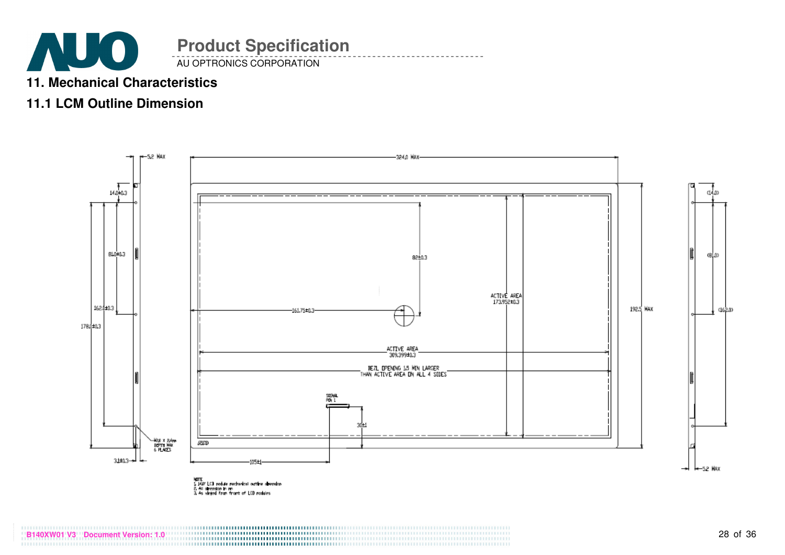

## **11. Mechanical Characteristics**

## **11.1 LCM Outline Dimension**

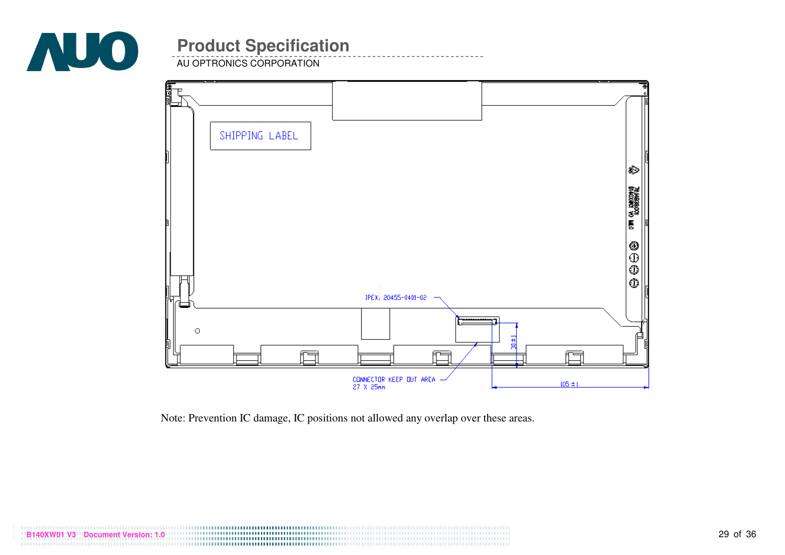

AU OPTRONICS CORPORATION

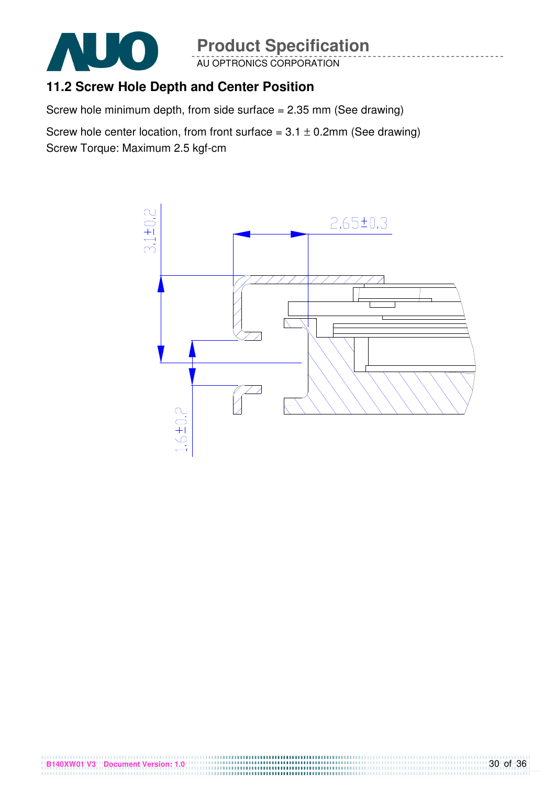

**B140XW01 V3 Document Version: 1.0** 

# **Product Specification**

AU OPTRONICS CORPORATION

## **11.2 Screw Hole Depth and Center Position**

Screw hole minimum depth, from side surface = 2.35 mm (See drawing)

Screw hole center location, from front surface =  $3.1 \pm 0.2$ mm (See drawing) Screw Torque: Maximum 2.5 kgf-cm

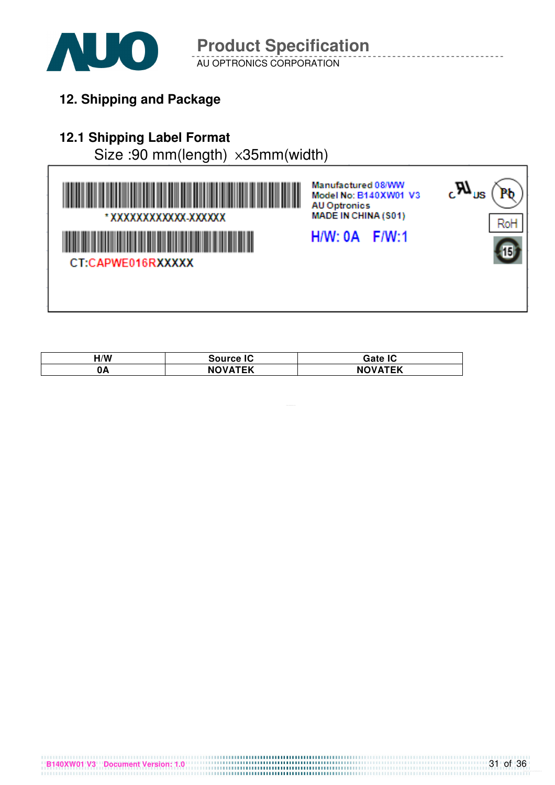

AU OPTRONICS CORPORATION **Product Specification** 

**12. Shipping and Package**

# **12.1 Shipping Label Format**

Size :90 mm(length) x35mm(width)



| $\mathsf{H}/\mathsf{W}$ | <b>Source IC</b>    | <b>Gate IC</b>          |
|-------------------------|---------------------|-------------------------|
| 0Α                      | <b>OVATEK</b><br>NC | VATCK<br>NC.<br>'YAI EN |

**B140XW01 V3 Document Version: 1.0**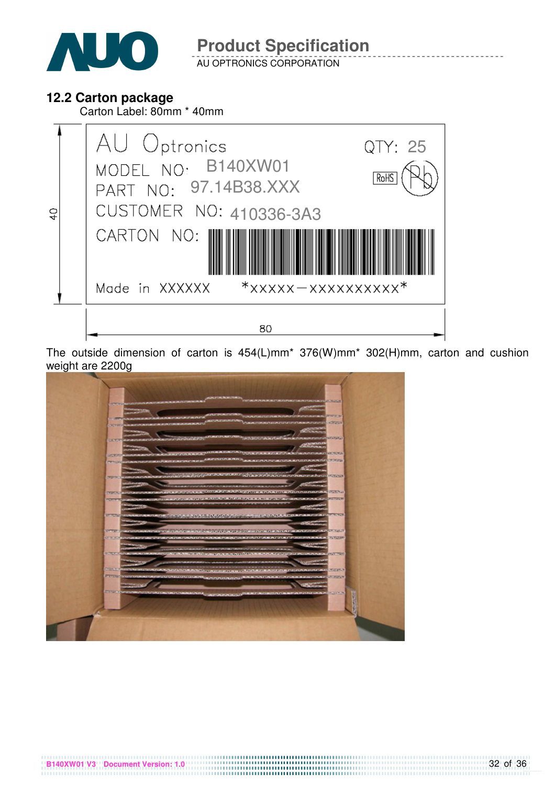

AU OPTRONICS CORPORATION

### **12.2 Carton package**

**B140XW01 V3 Document Version: 1.0** 

Carton Label: 80mm \* 40mm



The outside dimension of carton is 454(L)mm\* 376(W)mm\* 302(H)mm, carton and cushion weight are 2200g

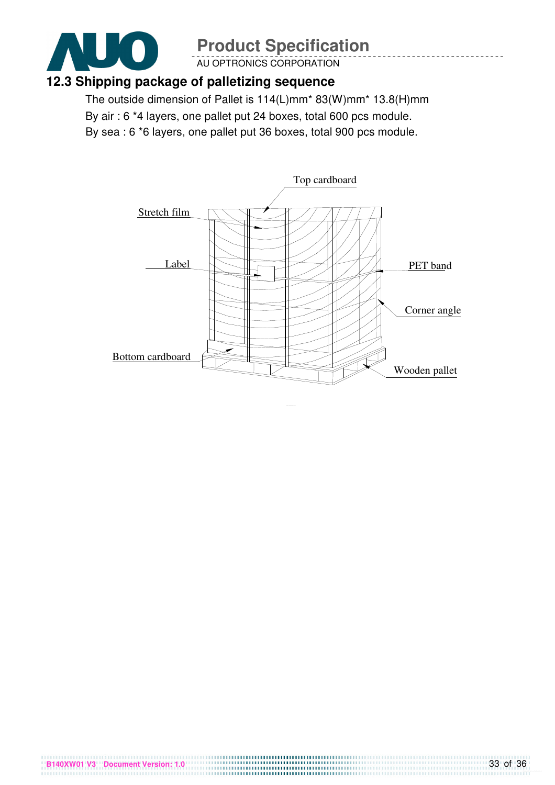

AU OPTRONICS CORPORATION

### **12.3 Shipping package of palletizing sequence**

**B140XW01 V3 Document Version: 1.0** 

The outside dimension of Pallet is 114(L)mm\* 83(W)mm\* 13.8(H)mm By air : 6 \*4 layers, one pallet put 24 boxes, total 600 pcs module. By sea : 6 \*6 layers, one pallet put 36 boxes, total 900 pcs module.

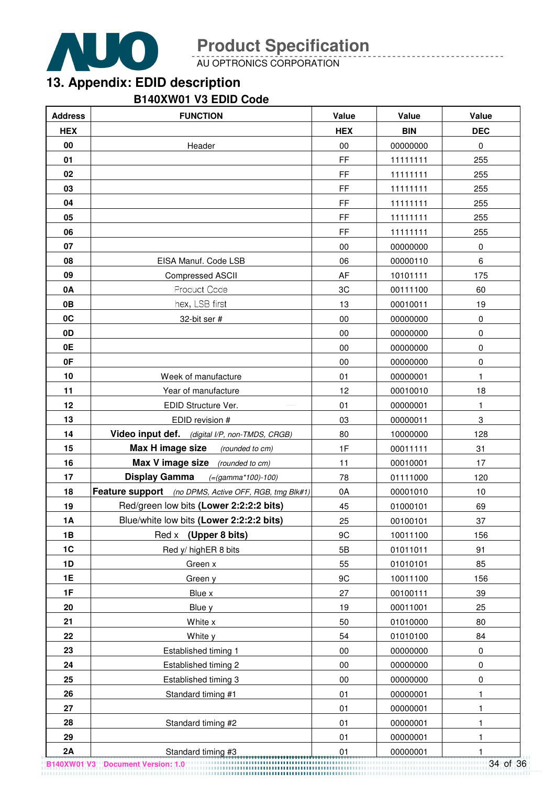

AU OPTRONICS CORPORATION

# **13. Appendix: EDID description**

#### **B140XW01 V3 EDID Code**

| <b>Address</b> | <b>FUNCTION</b>                                       | Value      | Value      | Value      |
|----------------|-------------------------------------------------------|------------|------------|------------|
| <b>HEX</b>     |                                                       | <b>HEX</b> | <b>BIN</b> | <b>DEC</b> |
| 00             | Header                                                | 00         | 00000000   | $\pmb{0}$  |
| 01             |                                                       | FF         | 11111111   | 255        |
| 02             |                                                       | <b>FF</b>  | 11111111   | 255        |
| 03             |                                                       | FF.        | 11111111   | 255        |
| 04             |                                                       | FF.        | 11111111   | 255        |
| 05             |                                                       | FF.        | 11111111   | 255        |
| 06             |                                                       | FF         | 11111111   | 255        |
| 07             |                                                       | 00         | 00000000   | 0          |
| 08             | EISA Manuf. Code LSB                                  | 06         | 00000110   | 6          |
| 09             | <b>Compressed ASCII</b>                               | AF         | 10101111   | 175        |
| 0A             | Product Code                                          | 3C         | 00111100   | 60         |
| 0B             | hex, LSB first                                        | 13         | 00010011   | 19         |
| 0C             | 32-bit ser #                                          | 00         | 00000000   | 0          |
| 0D             |                                                       | 00         | 00000000   | 0          |
| 0E             |                                                       | 00         | 00000000   | 0          |
| 0F             |                                                       | 00         | 00000000   | 0          |
| 10             | Week of manufacture                                   | 01         | 00000001   | 1          |
| 11             | Year of manufacture                                   | 12         | 00010010   | 18         |
| 12             | EDID Structure Ver.                                   | 01         | 00000001   | 1          |
| 13             | EDID revision #                                       | 03         | 00000011   | $\,3$      |
| 14             | Video input def. (digital I/P, non-TMDS, CRGB)        | 80         | 10000000   | 128        |
| 15             | Max H image size<br>(rounded to cm)                   | 1F         | 00011111   | 31         |
| 16             | Max V image size (rounded to cm)                      | 11         | 00010001   | 17         |
| 17             | <b>Display Gamma</b><br>$(=(gamma*100)-100)$          | 78         | 01111000   | 120        |
| 18             | Feature support (no DPMS, Active OFF, RGB, tmg Blk#1) | 0A         | 00001010   | 10         |
| 19             | Red/green low bits (Lower 2:2:2:2 bits)               | 45         | 01000101   | 69         |
| <b>1A</b>      | Blue/white low bits (Lower 2:2:2:2 bits)              | 25         | 00100101   | 37         |
| 1B             | Red x (Upper 8 bits)                                  | 9C         | 10011100   | 156        |
| 1C             | Red y/ highER 8 bits                                  | 5B         | 01011011   | 91         |
| 1D             | Green x                                               | 55         | 01010101   | 85         |
| 1E             | Green y                                               | 9C         | 10011100   | 156        |
| 1F             | Blue x                                                | 27         | 00100111   | 39         |
| 20             | Blue y                                                | 19         | 00011001   | 25         |
| 21             | White x                                               | 50         | 01010000   | 80         |
| 22             | White y                                               | 54         | 01010100   | 84         |
| 23             | Established timing 1                                  | 00         | 00000000   | 0          |
| 24             | Established timing 2                                  | 00         | 00000000   | 0          |
| 25             | Established timing 3                                  | 00         | 00000000   | 0          |
| 26             | Standard timing #1                                    | 01         | 00000001   | 1          |
| 27             |                                                       | 01         | 00000001   | 1          |
| 28             | Standard timing #2                                    | 01         | 00000001   | 1          |
| 29             |                                                       | 01         | 00000001   | 1          |
| 2A             | Standard timing #3                                    | 01         | 00000001   |            |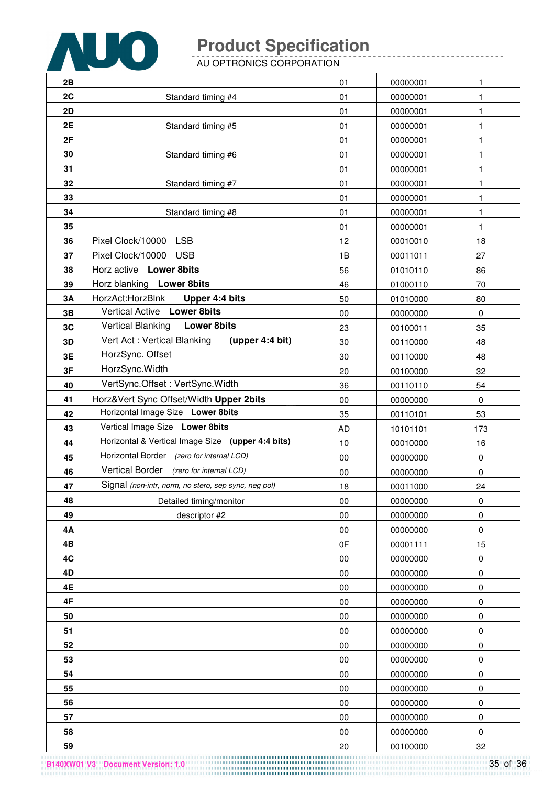

AU OPTRONICS CORPORATION

| 2B       |                                                      | 01        | 00000001             | 1               |
|----------|------------------------------------------------------|-----------|----------------------|-----------------|
| 2C       | Standard timing #4                                   | 01        | 00000001             | 1               |
| 2D       |                                                      | 01        | 00000001             | 1               |
| 2E       | Standard timing #5                                   | 01        | 00000001             | 1               |
| 2F       |                                                      | 01        | 00000001             | 1               |
| 30       | Standard timing #6                                   | 01        | 00000001             | 1               |
| 31       |                                                      | 01        | 00000001             | 1               |
| 32       | Standard timing #7                                   | 01        | 00000001             | 1               |
| 33       |                                                      | 01        | 00000001             | 1               |
| 34       | Standard timing #8                                   | 01        | 00000001             | 1               |
| 35       |                                                      | 01        | 00000001             | 1               |
| 36       | <b>LSB</b><br>Pixel Clock/10000                      | 12        | 00010010             | 18              |
| 37       | Pixel Clock/10000<br><b>USB</b>                      | 1B        | 00011011             | 27              |
| 38       | Horz active Lower 8bits                              | 56        | 01010110             | 86              |
| 39       | Horz blanking Lower 8bits                            | 46        | 01000110             | 70              |
| 3A       | HorzAct:HorzBlnk<br>Upper 4:4 bits                   | 50        | 01010000             | 80              |
| 3B       | Vertical Active Lower 8bits                          | 00        | 00000000             | $\mathbf 0$     |
| 3C       | <b>Vertical Blanking</b><br><b>Lower 8bits</b>       | 23        | 00100011             | 35              |
| 3D       | Vert Act: Vertical Blanking<br>(upper 4:4 bit)       | 30        | 00110000             | 48              |
| 3E       | HorzSync. Offset                                     | 30        | 00110000             | 48              |
| 3F       | HorzSync.Width                                       | 20        | 00100000             | 32              |
| 40       | VertSync.Offset: VertSync.Width                      | 36        | 00110110             | 54              |
| 41       | Horz‖ Sync Offset/Width Upper 2bits                  | $00\,$    | 00000000             | $\mathbf 0$     |
| 42       | Horizontal Image Size Lower 8bits                    | 35        | 00110101             | 53              |
| 43       | Vertical Image Size Lower 8bits                      | <b>AD</b> | 10101101             | 173             |
| 44       | Horizontal & Vertical Image Size (upper 4:4 bits)    | 10        | 00010000             | 16              |
| 45       | Horizontal Border (zero for internal LCD)            | 00        | 00000000             | 0               |
| 46       | Vertical Border<br>(zero for internal LCD)           | 00        | 00000000             | 0               |
| 47       | Signal (non-intr, norm, no stero, sep sync, neg pol) | 18        | 00011000             | 24              |
| 48       | Detailed timing/monitor                              | 00        | 00000000             | $\pmb{0}$       |
| 49       | descriptor #2                                        | $00\,$    | 00000000             | 0               |
| 4A       |                                                      | 00<br>0F  | 00000000             | $\pmb{0}$       |
| 4B<br>4C |                                                      | 00        | 00001111<br>00000000 | 15<br>$\pmb{0}$ |
| 4D       |                                                      | 00        | 00000000             | 0               |
| 4E       |                                                      | $00\,$    | 00000000             | $\pmb{0}$       |
| 4F       |                                                      | $00\,$    | 00000000             | 0               |
| 50       |                                                      | 00        | 00000000             | 0               |
| 51       |                                                      | $00\,$    | 00000000             | 0               |
| 52       |                                                      | $00\,$    | 00000000             | 0               |
| 53       |                                                      | $00\,$    | 00000000             | $\pmb{0}$       |
| 54       |                                                      | 00        | 00000000             | $\pmb{0}$       |
| 55       |                                                      | 00        | 00000000             | 0               |
| 56       |                                                      | 00        | 00000000             | 0               |
| 57       |                                                      | 00        | 00000000             | $\pmb{0}$       |
| 58       |                                                      | $00\,$    | 00000000             | 0               |
| 59       |                                                      | 20        | 00100000             | 32              |

**B140XW01 V3 Document Version: 1.0**